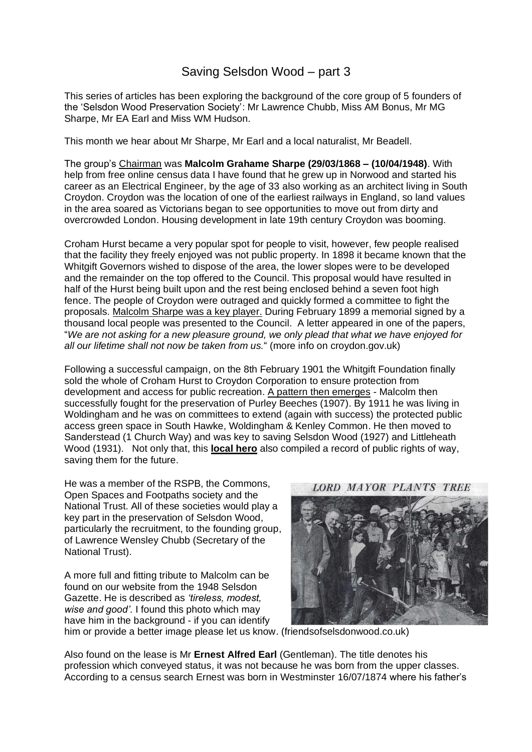## Saving Selsdon Wood – part 3

This series of articles has been exploring the background of the core group of 5 founders of the 'Selsdon Wood Preservation Society': Mr Lawrence Chubb, Miss AM Bonus, Mr MG Sharpe, Mr EA Earl and Miss WM Hudson.

This month we hear about Mr Sharpe, Mr Earl and a local naturalist, Mr Beadell.

The group's Chairman was **Malcolm Grahame Sharpe (29/03/1868 – (10/04/1948)**. With help from free online census data I have found that he grew up in Norwood and started his career as an Electrical Engineer, by the age of 33 also working as an architect living in South Croydon. Croydon was the location of one of the earliest railways in England, so land values in the area soared as Victorians began to see opportunities to move out from dirty and overcrowded London. Housing development in late 19th century Croydon was booming.

Croham Hurst became a very popular spot for people to visit, however, few people realised that the facility they freely enjoyed was not public property. In 1898 it became known that the Whitgift Governors wished to dispose of the area, the lower slopes were to be developed and the remainder on the top offered to the Council. This proposal would have resulted in half of the Hurst being built upon and the rest being enclosed behind a seven foot high fence. The people of Croydon were outraged and quickly formed a committee to fight the proposals. Malcolm Sharpe was a key player. During February 1899 a memorial signed by a thousand local people was presented to the Council. A letter appeared in one of the papers, "*We are not asking for a new pleasure ground, we only plead that what we have enjoyed for all our lifetime shall not now be taken from us.*" (more info on croydon.gov.uk)

Following a successful campaign, on the 8th February 1901 the Whitgift Foundation finally sold the whole of Croham Hurst to Croydon Corporation to ensure protection from development and access for public recreation. A pattern then emerges - Malcolm then successfully fought for the preservation of Purley Beeches (1907). By 1911 he was living in Woldingham and he was on committees to extend (again with success) the protected public access green space in South Hawke, Woldingham & Kenley Common. He then moved to Sanderstead (1 Church Way) and was key to saving Selsdon Wood (1927) and Littleheath Wood (1931). Not only that, this **local hero** also compiled a record of public rights of way, saving them for the future.

He was a member of the RSPB, the Commons, Open Spaces and Footpaths society and the National Trust. All of these societies would play a key part in the preservation of Selsdon Wood, particularly the recruitment, to the founding group, of Lawrence Wensley Chubb (Secretary of the National Trust).

A more full and fitting tribute to Malcolm can be found on our website from the 1948 Selsdon Gazette. He is described as *'tireless, modest, wise and good'.* I found this photo which may have him in the background - if you can identify

**LORD MAYOR PLANTS TREE** 



him or provide a better image please let us know. (friendsofselsdonwood.co.uk)

Also found on the lease is Mr **Ernest Alfred Earl** (Gentleman). The title denotes his profession which conveyed status, it was not because he was born from the upper classes. According to a census search Ernest was born in Westminster 16/07/1874 where his father's